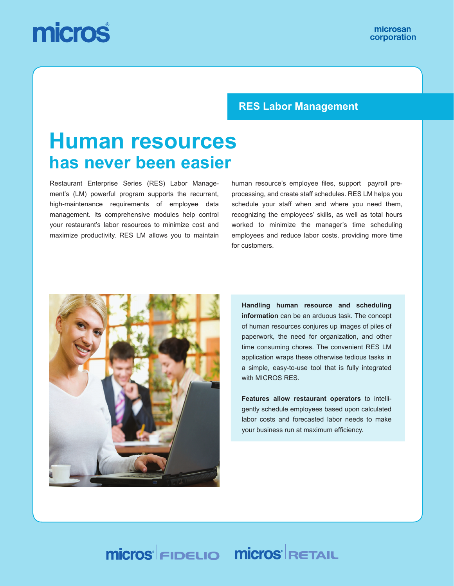# micros

#### **RES Labor Management**

## **Human resources has never been easier**

Restaurant Enterprise Series (RES) Labor Management's (LM) powerful program supports the recurrent, high-maintenance requirements of employee data management. Its comprehensive modules help control your restaurant's labor resources to minimize cost and maximize productivity. RES LM allows you to maintain human resource's employee files, support payroll preprocessing, and create staff schedules. RES LM helps you schedule your staff when and where you need them, recognizing the employees' skills, as well as total hours worked to minimize the manager's time scheduling employees and reduce labor costs, providing more time for customers.



**Handling human resource and scheduling information** can be an arduous task. The concept of human resources conjures up images of piles of paperwork, the need for organization, and other time consuming chores. The convenient RES LM application wraps these otherwise tedious tasks in a simple, easy-to-use tool that is fully integrated with MICROS RES.

**Features allow restaurant operators** to intelligently schedule employees based upon calculated labor costs and forecasted labor needs to make your business run at maximum efficiency.

## **Micros FIDELIO Micros RETAIL**